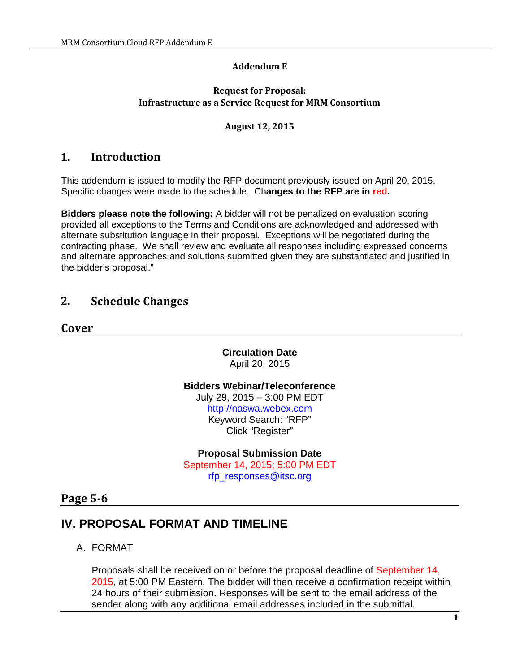#### **Addendum E**

#### **Request for Proposal: Infrastructure as a Service Request for MRM Consortium**

#### **August 12, 2015**

### **1. Introduction**

This addendum is issued to modify the RFP document previously issued on April 20, 2015. Specific changes were made to the schedule. Ch**anges to the RFP are in red.**

**Bidders please note the following:** A bidder will not be penalized on evaluation scoring provided all exceptions to the Terms and Conditions are acknowledged and addressed with alternate substitution language in their proposal. Exceptions will be negotiated during the contracting phase. We shall review and evaluate all responses including expressed concerns and alternate approaches and solutions submitted given they are substantiated and justified in the bidder's proposal."

## **2. Schedule Changes**

**Cover**

**Circulation Date** April 20, 2015

**Bidders Webinar/Teleconference** July 29, 2015 – 3:00 PM EDT http://naswa.webex.com Keyword Search: "RFP" Click "Register"

**Proposal Submission Date** September 14, 2015; 5:00 PM EDT rfp\_responses@itsc.org

### **Page 5-6**

# **IV. PROPOSAL FORMAT AND TIMELINE**

A. FORMAT

Proposals shall be received on or before the proposal deadline of September 14, 2015, at 5:00 PM Eastern. The bidder will then receive a confirmation receipt within 24 hours of their submission. Responses will be sent to the email address of the sender along with any additional email addresses included in the submittal.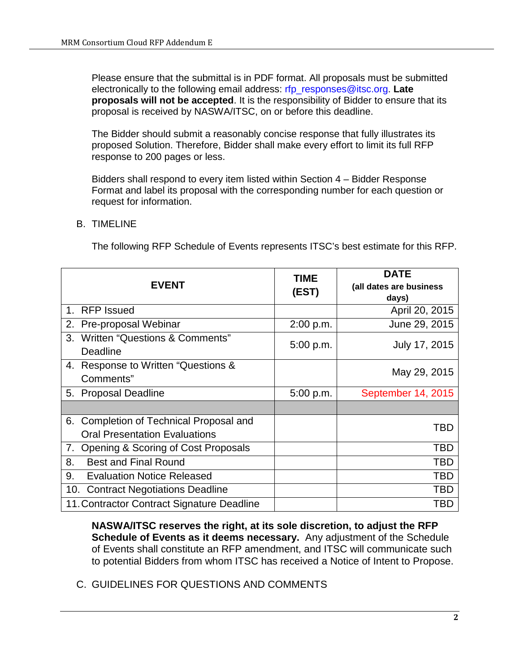Please ensure that the submittal is in PDF format. All proposals must be submitted electronically to the following email address: rfp\_responses@itsc.org. **Late proposals will not be accepted**. It is the responsibility of Bidder to ensure that its proposal is received by NASWA/ITSC, on or before this deadline.

The Bidder should submit a reasonably concise response that fully illustrates its proposed Solution. Therefore, Bidder shall make every effort to limit its full RFP response to 200 pages or less.

Bidders shall respond to every item listed within Section 4 – Bidder Response Format and label its proposal with the corresponding number for each question or request for information.

### B. TIMELINE

The following RFP Schedule of Events represents ITSC's best estimate for this RFP.

| <b>EVENT</b>                                                                       | TIME<br>(EST) | <b>DATE</b><br>(all dates are business<br>days) |
|------------------------------------------------------------------------------------|---------------|-------------------------------------------------|
| <b>RFP Issued</b><br>1.                                                            |               | April 20, 2015                                  |
| Pre-proposal Webinar<br>2.                                                         | 2:00 p.m.     | June 29, 2015                                   |
| Written "Questions & Comments"<br>3.<br>Deadline                                   | 5:00 p.m.     | July 17, 2015                                   |
| Response to Written "Questions &<br>4.<br>Comments"                                |               | May 29, 2015                                    |
| <b>Proposal Deadline</b><br>5.                                                     | 5:00 p.m.     | September 14, 2015                              |
|                                                                                    |               |                                                 |
| Completion of Technical Proposal and<br>6.<br><b>Oral Presentation Evaluations</b> |               | TBD                                             |
| Opening & Scoring of Cost Proposals<br>7.                                          |               | TBD                                             |
| <b>Best and Final Round</b><br>8.                                                  |               | TBD                                             |
| 9.<br><b>Evaluation Notice Released</b>                                            |               | TBD                                             |
| <b>Contract Negotiations Deadline</b><br>10.                                       |               | TBD                                             |
| 11. Contractor Contract Signature Deadline                                         |               | TBD                                             |

**NASWA/ITSC reserves the right, at its sole discretion, to adjust the RFP Schedule of Events as it deems necessary.** Any adjustment of the Schedule of Events shall constitute an RFP amendment, and ITSC will communicate such to potential Bidders from whom ITSC has received a Notice of Intent to Propose.

C. GUIDELINES FOR QUESTIONS AND COMMENTS